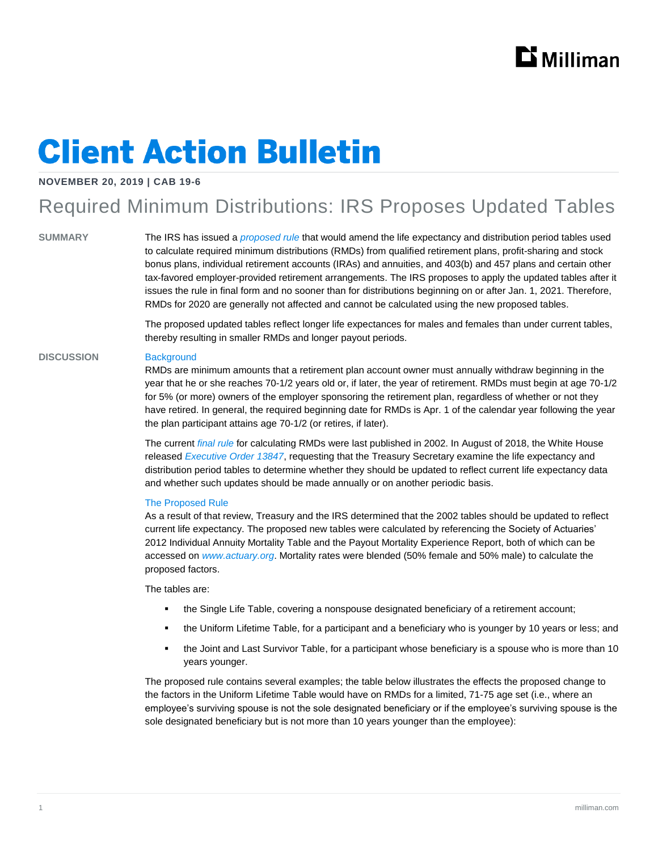# **Client Action Bulletin**

#### **NOVEMBER 20, 2019 | CAB 19-6**

### Required Minimum Distributions: IRS Proposes Updated Tables

**SUMMARY** The IRS has issued a *[proposed rule](https://www.govinfo.gov/content/pkg/FR-2019-11-08/pdf/2019-24065.pdf)* that would amend the life expectancy and distribution period tables used to calculate required minimum distributions (RMDs) from qualified retirement plans, profit-sharing and stock bonus plans, individual retirement accounts (IRAs) and annuities, and 403(b) and 457 plans and certain other tax-favored employer-provided retirement arrangements. The IRS proposes to apply the updated tables after it issues the rule in final form and no sooner than for distributions beginning on or after Jan. 1, 2021. Therefore, RMDs for 2020 are generally not affected and cannot be calculated using the new proposed tables.

> The proposed updated tables reflect longer life expectances for males and females than under current tables, thereby resulting in smaller RMDs and longer payout periods.

#### **DISCUSSION** Background

RMDs are minimum amounts that a retirement plan account owner must annually withdraw beginning in the year that he or she reaches 70-1/2 years old or, if later, the year of retirement. RMDs must begin at age 70-1/2 for 5% (or more) owners of the employer sponsoring the retirement plan, regardless of whether or not they have retired. In general, the required beginning date for RMDs is Apr. 1 of the calendar year following the year the plan participant attains age 70-1/2 (or retires, if later).

The current *[final rule](https://www.govinfo.gov/content/pkg/FR-2002-04-17/pdf/02-8963.pdf#page=2)* for calculating RMDs were last published in 2002. In August of 2018, the White House released *[Executive Order 13847](https://www.whitehouse.gov/presidential-actions/executive-order-strengthening-retirement-security-america/)*, requesting that the Treasury Secretary examine the life expectancy and distribution period tables to determine whether they should be updated to reflect current life expectancy data and whether such updates should be made annually or on another periodic basis.

#### The Proposed Rule

As a result of that review, Treasury and the IRS determined that the 2002 tables should be updated to reflect current life expectancy. The proposed new tables were calculated by referencing the Society of Actuaries' 2012 Individual Annuity Mortality Table and the Payout Mortality Experience Report, both of which can be accessed on *[www.actuary.org](http://www.actuary.org/)*. Mortality rates were blended (50% female and 50% male) to calculate the proposed factors.

The tables are:

- \* the Single Life Table, covering a nonspouse designated beneficiary of a retirement account;
- the Uniform Lifetime Table, for a participant and a beneficiary who is younger by 10 years or less; and
- the Joint and Last Survivor Table, for a participant whose beneficiary is a spouse who is more than 10 years younger.

The proposed rule contains several examples; the table below illustrates the effects the proposed change to the factors in the Uniform Lifetime Table would have on RMDs for a limited, 71-75 age set (i.e., where an employee's surviving spouse is not the sole designated beneficiary or if the employee's surviving spouse is the sole designated beneficiary but is not more than 10 years younger than the employee):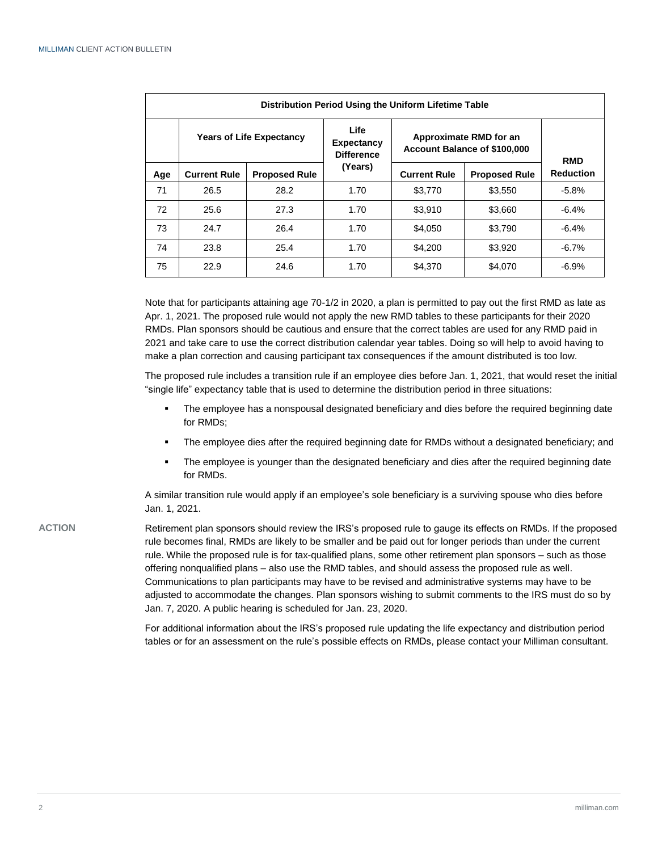| Distribution Period Using the Uniform Lifetime Table |                                 |                      |                                                |                                                        |                      |                  |
|------------------------------------------------------|---------------------------------|----------------------|------------------------------------------------|--------------------------------------------------------|----------------------|------------------|
|                                                      | <b>Years of Life Expectancy</b> |                      | Life<br><b>Expectancy</b><br><b>Difference</b> | Approximate RMD for an<br>Account Balance of \$100,000 |                      | <b>RMD</b>       |
| Age                                                  | <b>Current Rule</b>             | <b>Proposed Rule</b> | (Years)                                        | <b>Current Rule</b>                                    | <b>Proposed Rule</b> | <b>Reduction</b> |
| 71                                                   | 26.5                            | 28.2                 | 1.70                                           | \$3,770                                                | \$3,550              | $-5.8%$          |
| 72                                                   | 25.6                            | 27.3                 | 1.70                                           | \$3,910                                                | \$3,660              | $-6.4%$          |
| 73                                                   | 24.7                            | 26.4                 | 1.70                                           | \$4,050                                                | \$3,790              | $-6.4%$          |
| 74                                                   | 23.8                            | 25.4                 | 1.70                                           | \$4,200                                                | \$3,920              | $-6.7%$          |
| 75                                                   | 22.9                            | 24.6                 | 1.70                                           | \$4.370                                                | \$4,070              | $-6.9%$          |

Note that for participants attaining age 70-1/2 in 2020, a plan is permitted to pay out the first RMD as late as Apr. 1, 2021. The proposed rule would not apply the new RMD tables to these participants for their 2020 RMDs. Plan sponsors should be cautious and ensure that the correct tables are used for any RMD paid in 2021 and take care to use the correct distribution calendar year tables. Doing so will help to avoid having to make a plan correction and causing participant tax consequences if the amount distributed is too low.

The proposed rule includes a transition rule if an employee dies before Jan. 1, 2021, that would reset the initial "single life" expectancy table that is used to determine the distribution period in three situations:

- The employee has a nonspousal designated beneficiary and dies before the required beginning date for RMDs;
- The employee dies after the required beginning date for RMDs without a designated beneficiary; and
- The employee is younger than the designated beneficiary and dies after the required beginning date for RMDs.

A similar transition rule would apply if an employee's sole beneficiary is a surviving spouse who dies before Jan. 1, 2021.

**ACTION** Retirement plan sponsors should review the IRS's proposed rule to gauge its effects on RMDs. If the proposed rule becomes final, RMDs are likely to be smaller and be paid out for longer periods than under the current rule. While the proposed rule is for tax-qualified plans, some other retirement plan sponsors – such as those offering nonqualified plans – also use the RMD tables, and should assess the proposed rule as well. Communications to plan participants may have to be revised and administrative systems may have to be adjusted to accommodate the changes. Plan sponsors wishing to submit comments to the IRS must do so by Jan. 7, 2020. A public hearing is scheduled for Jan. 23, 2020.

> For additional information about the IRS's proposed rule updating the life expectancy and distribution period tables or for an assessment on the rule's possible effects on RMDs, please contact your Milliman consultant.